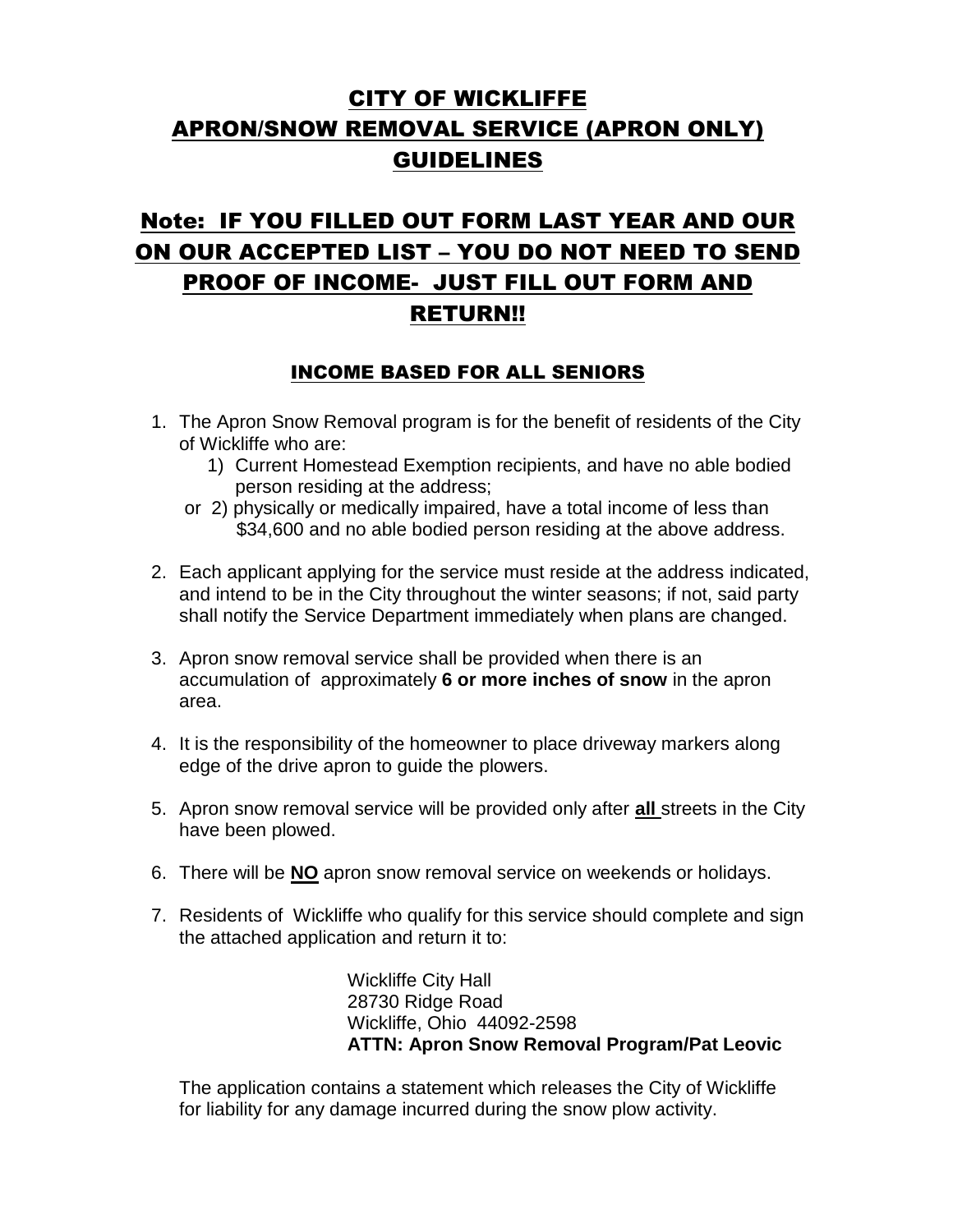## **CITY OF WICKLIFFE** APRON/SNOW REMOVAL SERVICE (APRON ONLY) GUIDELINES

# Note: IF YOU FILLED OUT FORM LAST YEAR AND OUR ON OUR ACCEPTED LIST – YOU DO NOT NEED TO SEND PROOF OF INCOME- JUST FILL OUT FORM AND RETURN!!

### INCOME BASED FOR ALL SENIORS

- 1. The Apron Snow Removal program is for the benefit of residents of the City of Wickliffe who are:
	- 1) Current Homestead Exemption recipients, and have no able bodied person residing at the address;
	- or 2) physically or medically impaired, have a total income of less than \$34,600 and no able bodied person residing at the above address.
- 2. Each applicant applying for the service must reside at the address indicated, and intend to be in the City throughout the winter seasons; if not, said party shall notify the Service Department immediately when plans are changed.
- 3. Apron snow removal service shall be provided when there is an accumulation of approximately **6 or more inches of snow** in the apron area.
- 4. It is the responsibility of the homeowner to place driveway markers along edge of the drive apron to guide the plowers.
- 5. Apron snow removal service will be provided only after **all** streets in the City have been plowed.
- 6. There will be **NO** apron snow removal service on weekends or holidays.
- 7. Residents of Wickliffe who qualify for this service should complete and sign the attached application and return it to:

Wickliffe City Hall 28730 Ridge Road Wickliffe, Ohio 44092-2598 **ATTN: Apron Snow Removal Program/Pat Leovic**

The application contains a statement which releases the City of Wickliffe for liability for any damage incurred during the snow plow activity.